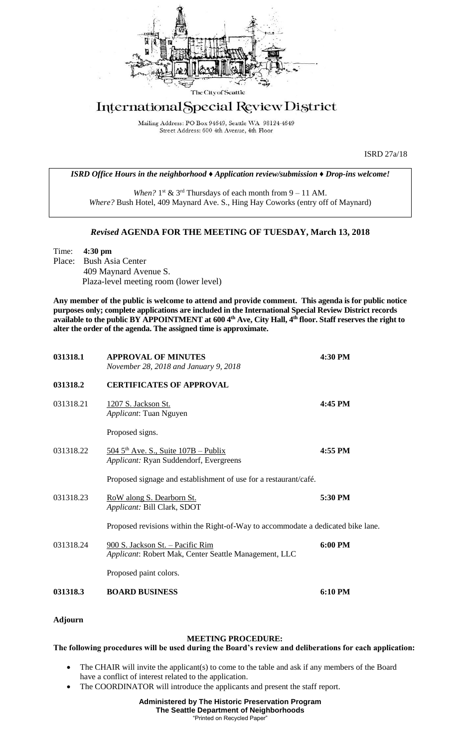

## International Special Review District

Mailing Address: PO Box 94649, Seattle WA 98124-4649 Street Address: 600 4th Avenue, 4th Floor

ISRD 27a/18

*ISRD Office Hours in the neighborhood ♦ Application review/submission ♦ Drop-ins welcome!*

When?  $1<sup>st</sup>$  &  $3<sup>rd</sup>$  Thursdays of each month from  $9 - 11$  AM. *Where?* Bush Hotel, 409 Maynard Ave. S., Hing Hay Coworks (entry off of Maynard)

## *Revised* **AGENDA FOR THE MEETING OF TUESDAY, March 13, 2018**

Time: **4:30 pm** Place: Bush Asia Center 409 Maynard Avenue S. Plaza-level meeting room (lower level)

**Any member of the public is welcome to attend and provide comment. This agenda is for public notice purposes only; complete applications are included in the International Special Review District records available to the public BY APPOINTMENT at 600 4th Ave, City Hall, 4th floor. Staff reserves the right to alter the order of the agenda. The assigned time is approximate.** 

| 031318.1  | <b>APPROVAL OF MINUTES</b><br>November 28, 2018 and January 9, 2018                         | 4:30 PM |
|-----------|---------------------------------------------------------------------------------------------|---------|
| 031318.2  | <b>CERTIFICATES OF APPROVAL</b>                                                             |         |
| 031318.21 | 1207 S. Jackson St.<br>Applicant: Tuan Nguyen                                               | 4:45 PM |
|           | Proposed signs.                                                                             |         |
| 031318.22 | $5045^{\text{th}}$ Ave. S., Suite $107B$ – Publix<br>Applicant: Ryan Suddendorf, Evergreens | 4:55 PM |
|           | Proposed signage and establishment of use for a restaurant/café.                            |         |
| 031318.23 | RoW along S. Dearborn St.<br>Applicant: Bill Clark, SDOT                                    | 5:30 PM |
|           | Proposed revisions within the Right-of-Way to accommodate a dedicated bike lane.            |         |
| 031318.24 | 900 S. Jackson St. - Pacific Rim<br>Applicant: Robert Mak, Center Seattle Management, LLC   | 6:00 PM |
|           | Proposed paint colors.                                                                      |         |
| 031318.3  | <b>BOARD BUSINESS</b>                                                                       | 6:10 PM |

**Adjourn**

## **MEETING PROCEDURE:**

**The following procedures will be used during the Board's review and deliberations for each application:** 

- The CHAIR will invite the applicant(s) to come to the table and ask if any members of the Board have a conflict of interest related to the application.
- The COORDINATOR will introduce the applicants and present the staff report.

## **Administered by The Historic Preservation Program The Seattle Department of Neighborhoods** "Printed on Recycled Paper"